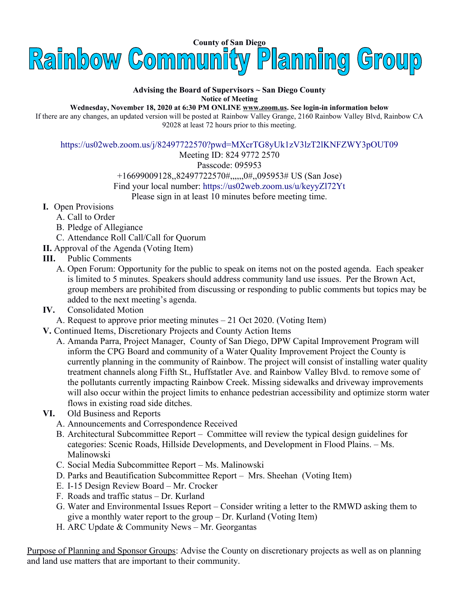

## **Advising the Board of Supervisors ~ San Diego County Notice of Meeting**

**Wednesday, November 18, 2020 at 6:30 PM ONLINE [www.zoom.us.](http://www.zoom.us/) See login-in information below**

If there are any changes, an updated version will be posted at Rainbow Valley Grange, 2160 Rainbow Valley Blvd, Rainbow CA 92028 at least 72 hours prior to this meeting.

<https://us02web.zoom.us/j/82497722570?pwd=MXcrTG8yUk1zV3lzT2lKNFZWY3pOUT09>

Meeting ID: 824 9772 2570

Passcode: 095953

+16699009128,,82497722570#,,,,,,0#,,095953# US (San Jose)

Find your local number: https://us02web.zoom.us/u/keyyZl72Yt

Please sign in at least 10 minutes before meeting time.

- **I.** Open Provisions
	- A. Call to Order
	- B. Pledge of Allegiance
	- C. Attendance Roll Call/Call for Quorum
- **II.** Approval of the Agenda (Voting Item)
- **III.** Public Comments
	- A. Open Forum: Opportunity for the public to speak on items not on the posted agenda. Each speaker is limited to 5 minutes. Speakers should address community land use issues. Per the Brown Act, group members are prohibited from discussing or responding to public comments but topics may be added to the next meeting's agenda.
- **IV.** Consolidated Motion

A. Request to approve prior meeting minutes – 21 Oct 2020. (Voting Item)

- **V.** Continued Items, Discretionary Projects and County Action Items
	- A. Amanda Parra, Project Manager, County of San Diego, DPW Capital Improvement Program will inform the CPG Board and community of a Water Quality Improvement Project the County is currently planning in the community of Rainbow. The project will consist of installing water quality treatment channels along Fifth St., Huffstatler Ave. and Rainbow Valley Blvd. to remove some of the pollutants currently impacting Rainbow Creek. Missing sidewalks and driveway improvements will also occur within the project limits to enhance pedestrian accessibility and optimize storm water flows in existing road side ditches.
- **VI.** Old Business and Reports
	- A. Announcements and Correspondence Received
	- B. Architectural Subcommittee Report Committee will review the typical design guidelines for categories: Scenic Roads, Hillside Developments, and Development in Flood Plains. – Ms. Malinowski
	- C. Social Media Subcommittee Report Ms. Malinowski
	- D. Parks and Beautification Subcommittee Report Mrs. Sheehan (Voting Item)
	- E. I-15 Design Review Board Mr. Crocker
	- F. Roads and traffic status Dr. Kurland
	- G. Water and Environmental Issues Report Consider writing a letter to the RMWD asking them to give a monthly water report to the group – Dr. Kurland (Voting Item)
	- H. ARC Update & Community News Mr. Georgantas

Purpose of Planning and Sponsor Groups: Advise the County on discretionary projects as well as on planning and land use matters that are important to their community.